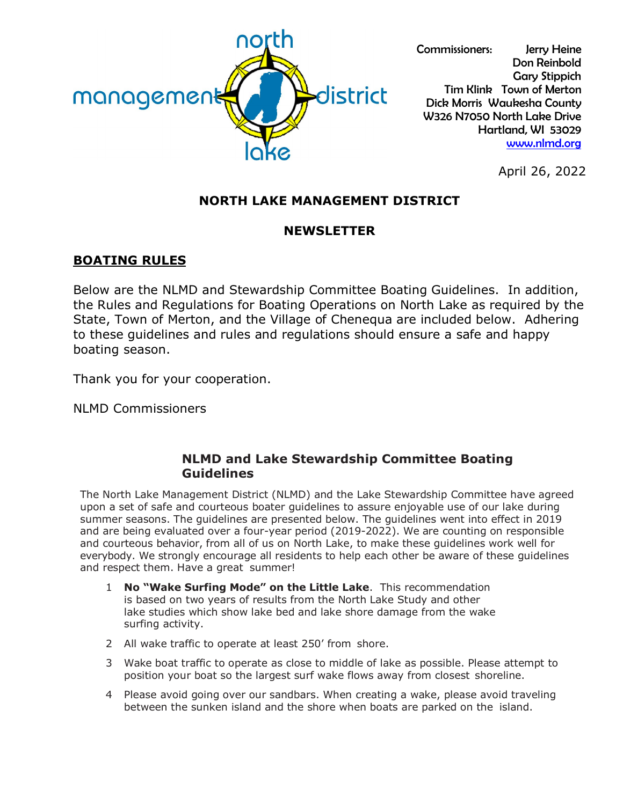

Commissioners: Jerry Heine Don Reinbold Gary Stippich Tim Klink Town of Merton Dick Morris Waukesha County W326 N7050 North Lake Drive Hartland, WI 53029 [www.nlmd.org](http://www.nlmd.org/)

April 26, 2022

# **NORTH LAKE MANAGEMENT DISTRICT**

## **NEWSLETTER**

## **BOATING RULES**

Below are the NLMD and Stewardship Committee Boating Guidelines. In addition, the Rules and Regulations for Boating Operations on North Lake as required by the State, Town of Merton, and the Village of Chenequa are included below. Adhering to these guidelines and rules and regulations should ensure a safe and happy boating season.

Thank you for your cooperation.

NLMD Commissioners

#### **NLMD and Lake Stewardship Committee Boating Guidelines**

The North Lake Management District (NLMD) and the Lake Stewardship Committee have agreed upon a set of safe and courteous boater guidelines to assure enjoyable use of our lake during summer seasons. The guidelines are presented below. The guidelines went into effect in 2019 and are being evaluated over a four-year period (2019-2022). We are counting on responsible and courteous behavior, from all of us on North Lake, to make these guidelines work well for everybody. We strongly encourage all residents to help each other be aware of these guidelines and respect them. Have a great summer!

- 1 **No "Wake Surfing Mode" on the Little Lake**. This recommendation is based on two years of results from the North Lake Study and other lake studies which show lake bed and lake shore damage from the wake surfing activity.
- 2 All wake traffic to operate at least 250' from shore.
- 3 Wake boat traffic to operate as close to middle of lake as possible. Please attempt to position your boat so the largest surf wake flows away from closest shoreline.
- 4 Please avoid going over our sandbars. When creating a wake, please avoid traveling between the sunken island and the shore when boats are parked on the island.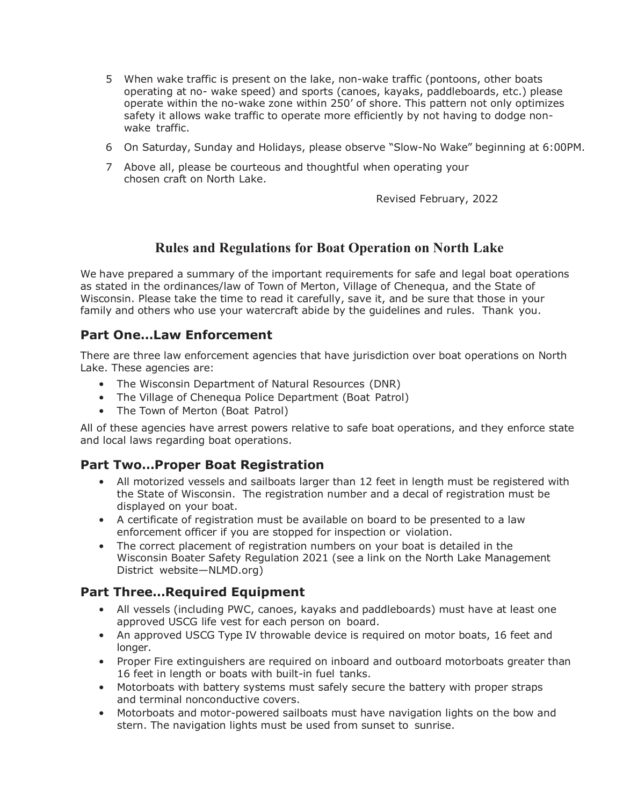- 5 When wake traffic is present on the lake, non-wake traffic (pontoons, other boats operating at no- wake speed) and sports (canoes, kayaks, paddleboards, etc.) please operate within the no-wake zone within 250' of shore. This pattern not only optimizes safety it allows wake traffic to operate more efficiently by not having to dodge nonwake traffic.
- 6 On Saturday, Sunday and Holidays, please observe "Slow-No Wake" beginning at 6:00PM.
- 7 Above all, please be courteous and thoughtful when operating your chosen craft on North Lake.

Revised February, 2022

## **Rules and Regulations for Boat Operation on North Lake**

We have prepared a summary of the important requirements for safe and legal boat operations as stated in the ordinances/law of Town of Merton, Village of Chenequa, and the State of Wisconsin. Please take the time to read it carefully, save it, and be sure that those in your family and others who use your watercraft abide by the guidelines and rules. Thank you.

## **Part One…Law Enforcement**

There are three law enforcement agencies that have jurisdiction over boat operations on North Lake. These agencies are:

- The Wisconsin Department of Natural Resources (DNR)
- The Village of Chenequa Police Department (Boat Patrol)
- The Town of Merton (Boat Patrol)

All of these agencies have arrest powers relative to safe boat operations, and they enforce state and local laws regarding boat operations.

#### **Part Two…Proper Boat Registration**

- All motorized vessels and sailboats larger than 12 feet in length must be registered with the State of Wisconsin. The registration number and a decal of registration must be displayed on your boat.
- A certificate of registration must be available on board to be presented to a law enforcement officer if you are stopped for inspection or violation.
- The correct placement of registration numbers on your boat is detailed in the Wisconsin Boater Safety Regulation 2021 (see a link on the North Lake Management District website—NLMD.org)

#### **Part Three…Required Equipment**

- All vessels (including PWC, canoes, kayaks and paddleboards) must have at least one approved USCG life vest for each person on board.
- An approved USCG Type IV throwable device is required on motor boats, 16 feet and longer.
- Proper Fire extinguishers are required on inboard and outboard motorboats greater than 16 feet in length or boats with built-in fuel tanks.
- Motorboats with battery systems must safely secure the battery with proper straps and terminal nonconductive covers.
- Motorboats and motor-powered sailboats must have navigation lights on the bow and stern. The navigation lights must be used from sunset to sunrise.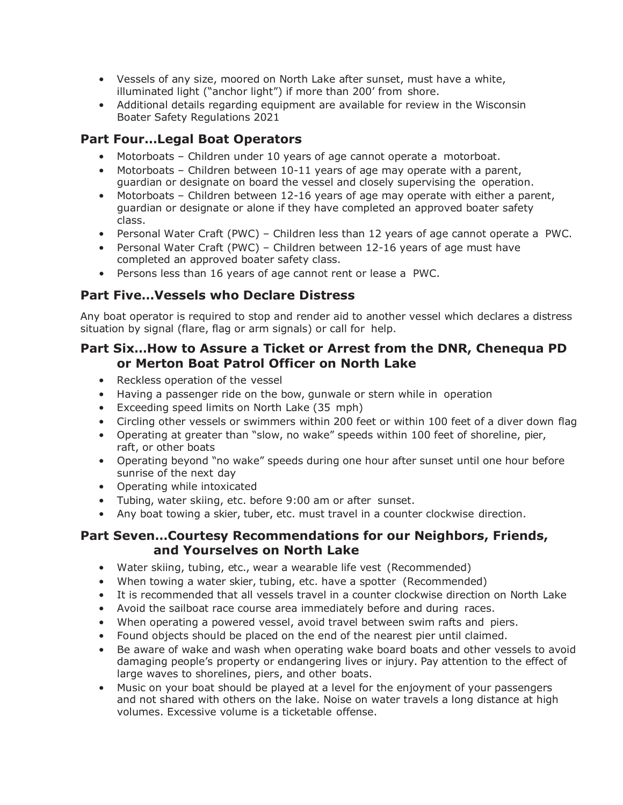- Vessels of any size, moored on North Lake after sunset, must have a white, illuminated light ("anchor light") if more than 200' from shore.
- Additional details regarding equipment are available for review in the Wisconsin Boater Safety Regulations 2021

# **Part Four…Legal Boat Operators**

- Motorboats Children under 10 years of age cannot operate a motorboat.
- Motorboats Children between 10-11 years of age may operate with a parent, guardian or designate on board the vessel and closely supervising the operation.
- Motorboats Children between 12-16 years of age may operate with either a parent, guardian or designate or alone if they have completed an approved boater safety class.
- Personal Water Craft (PWC) Children less than 12 years of age cannot operate a PWC.
- Personal Water Craft (PWC) Children between 12-16 years of age must have completed an approved boater safety class.
- Persons less than 16 years of age cannot rent or lease a PWC.

## **Part Five…Vessels who Declare Distress**

Any boat operator is required to stop and render aid to another vessel which declares a distress situation by signal (flare, flag or arm signals) or call for help.

### **Part Six…How to Assure a Ticket or Arrest from the DNR, Chenequa PD or Merton Boat Patrol Officer on North Lake**

- Reckless operation of the vessel
- Having a passenger ride on the bow, gunwale or stern while in operation
- Exceeding speed limits on North Lake (35 mph)
- Circling other vessels or swimmers within 200 feet or within 100 feet of a diver down flag
- Operating at greater than "slow, no wake" speeds within 100 feet of shoreline, pier, raft, or other boats
- Operating beyond "no wake" speeds during one hour after sunset until one hour before sunrise of the next day
- Operating while intoxicated
- Tubing, water skiing, etc. before 9:00 am or after sunset.
- Any boat towing a skier, tuber, etc. must travel in a counter clockwise direction.

## **Part Seven…Courtesy Recommendations for our Neighbors, Friends, and Yourselves on North Lake**

- Water skiing, tubing, etc., wear a wearable life vest (Recommended)
- When towing a water skier, tubing, etc. have a spotter (Recommended)
- It is recommended that all vessels travel in a counter clockwise direction on North Lake
- Avoid the sailboat race course area immediately before and during races.
- When operating a powered vessel, avoid travel between swim rafts and piers.
- Found objects should be placed on the end of the nearest pier until claimed.
- Be aware of wake and wash when operating wake board boats and other vessels to avoid damaging people's property or endangering lives or injury. Pay attention to the effect of large waves to shorelines, piers, and other boats.
- Music on your boat should be played at a level for the enjoyment of your passengers and not shared with others on the lake. Noise on water travels a long distance at high volumes. Excessive volume is a ticketable offense.